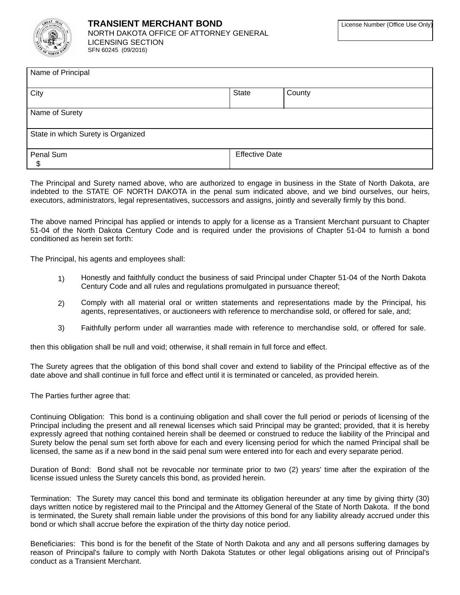

| Name of Principal                  |                       |        |
|------------------------------------|-----------------------|--------|
| City                               | State                 | County |
| Name of Surety                     |                       |        |
| State in which Surety is Organized |                       |        |
| Penal Sum<br>\$                    | <b>Effective Date</b> |        |

The Principal and Surety named above, who are authorized to engage in business in the State of North Dakota, are indebted to the STATE OF NORTH DAKOTA in the penal sum indicated above, and we bind ourselves, our heirs, executors, administrators, legal representatives, successors and assigns, jointly and severally firmly by this bond.

The above named Principal has applied or intends to apply for a license as a Transient Merchant pursuant to Chapter 51-04 of the North Dakota Century Code and is required under the provisions of Chapter 51-04 to furnish a bond conditioned as herein set forth:

The Principal, his agents and employees shall:

- Honestly and faithfully conduct the business of said Principal under Chapter 51-04 of the North Dakota  $1)$ Century Code and all rules and regulations promulgated in pursuance thereof;
- Comply with all material oral or written statements and representations made by the Principal, his  $(2)$ agents, representatives, or auctioneers with reference to merchandise sold, or offered for sale, and;
- 3) Faithfully perform under all warranties made with reference to merchandise sold, or offered for sale.

then this obligation shall be null and void; otherwise, it shall remain in full force and effect.

The Surety agrees that the obligation of this bond shall cover and extend to liability of the Principal effective as of the date above and shall continue in full force and effect until it is terminated or canceled, as provided herein.

The Parties further agree that:

Continuing Obligation: This bond is a continuing obligation and shall cover the full period or periods of licensing of the Principal including the present and all renewal licenses which said Principal may be granted; provided, that it is hereby expressly agreed that nothing contained herein shall be deemed or construed to reduce the liability of the Principal and Surety below the penal sum set forth above for each and every licensing period for which the named Principal shall be licensed, the same as if a new bond in the said penal sum were entered into for each and every separate period.

Duration of Bond: Bond shall not be revocable nor terminate prior to two (2) years' time after the expiration of the license issued unless the Surety cancels this bond, as provided herein.

Termination: The Surety may cancel this bond and terminate its obligation hereunder at any time by giving thirty (30) days written notice by registered mail to the Principal and the Attorney General of the State of North Dakota. If the bond is terminated, the Surety shall remain liable under the provisions of this bond for any liability already accrued under this bond or which shall accrue before the expiration of the thirty day notice period.

Beneficiaries: This bond is for the benefit of the State of North Dakota and any and all persons suffering damages by reason of Principal's failure to comply with North Dakota Statutes or other legal obligations arising out of Principal's conduct as a Transient Merchant.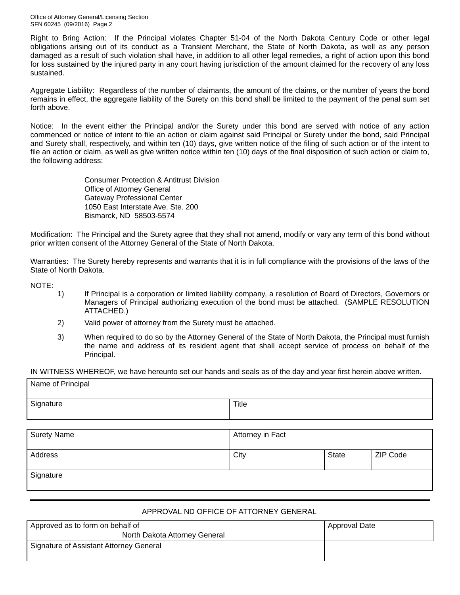Office of Attorney General/Licensing Section SFN 60245 (09/2016) Page 2

Right to Bring Action: If the Principal violates Chapter 51-04 of the North Dakota Century Code or other legal obligations arising out of its conduct as a Transient Merchant, the State of North Dakota, as well as any person damaged as a result of such violation shall have, in addition to all other legal remedies, a right of action upon this bond for loss sustained by the injured party in any court having jurisdiction of the amount claimed for the recovery of any loss sustained.

Aggregate Liability: Regardless of the number of claimants, the amount of the claims, or the number of years the bond remains in effect, the aggregate liability of the Surety on this bond shall be limited to the payment of the penal sum set forth above.

Notice: In the event either the Principal and/or the Surety under this bond are served with notice of any action commenced or notice of intent to file an action or claim against said Principal or Surety under the bond, said Principal and Surety shall, respectively, and within ten (10) days, give written notice of the filing of such action or of the intent to file an action or claim, as well as give written notice within ten (10) days of the final disposition of such action or claim to, the following address:

> **Consumer Protection & Antitrust Division** Office of Attorney General **Gateway Professional Center** 1050 East Interstate Ave. Ste. 200 Bismarck, ND 58503-5574

Modification: The Principal and the Surety agree that they shall not amend, modify or vary any term of this bond without prior written consent of the Attorney General of the State of North Dakota.

Warranties: The Surety hereby represents and warrants that it is in full compliance with the provisions of the laws of the State of North Dakota.

NOTE:

- $1)$ If Principal is a corporation or limited liability company, a resolution of Board of Directors, Governors or Managers of Principal authorizing execution of the bond must be attached. (SAMPLE RESOLUTION ATTACHED.)
- $2)$ Valid power of attorney from the Surety must be attached.
- $3)$ When required to do so by the Attorney General of the State of North Dakota, the Principal must furnish the name and address of its resident agent that shall accept service of process on behalf of the Principal.

IN WITNESS WHEREOF, we have hereunto set our hands and seals as of the day and year first herein above written.

| Name of Principal  |                  |       |          |
|--------------------|------------------|-------|----------|
| Signature          | Title            |       |          |
|                    |                  |       |          |
| <b>Surety Name</b> | Attorney in Fact |       |          |
| Address            | City             | State | ZIP Code |
| Signature          |                  |       |          |

## APPROVAL ND OFFICE OF ATTORNEY GENERAL

| Approved as to form on behalf of        | <b>Approval Date</b> |
|-----------------------------------------|----------------------|
| North Dakota Attorney General           |                      |
| Signature of Assistant Attorney General |                      |
|                                         |                      |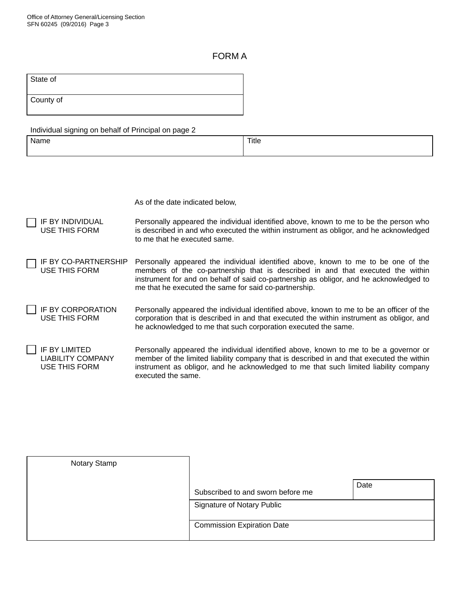## **FORMA**

| State of  |  |  |
|-----------|--|--|
| County of |  |  |

| Individual signing on behalf of Principal on page 2 |
|-----------------------------------------------------|
|-----------------------------------------------------|

| Name | Title |
|------|-------|
|      |       |

As of the date indicated below,

- IF BY INDIVIDUAL Personally appeared the individual identified above, known to me to be the person who **USE THIS FORM** is described in and who executed the within instrument as obligor, and he acknowledged to me that he executed same.
- IF BY CO-PARTNERSHIP Personally appeared the individual identified above, known to me to be one of the **USE THIS FORM** members of the co-partnership that is described in and that executed the within instrument for and on behalf of said co-partnership as obligor, and he acknowledged to me that he executed the same for said co-partnership.
- **IF BY CORPORATION** Personally appeared the individual identified above, known to me to be an officer of the **USE THIS FORM** corporation that is described in and that executed the within instrument as obligor, and he acknowledged to me that such corporation executed the same.
- IF BY LIMITED Personally appeared the individual identified above, known to me to be a governor or **LIABILITY COMPANY** member of the limited liability company that is described in and that executed the within **USE THIS FORM** instrument as obligor, and he acknowledged to me that such limited liability company executed the same.

| Notary Stamp |                                   |      |
|--------------|-----------------------------------|------|
|              | Subscribed to and sworn before me | Date |
|              | Signature of Notary Public        |      |
|              | <b>Commission Expiration Date</b> |      |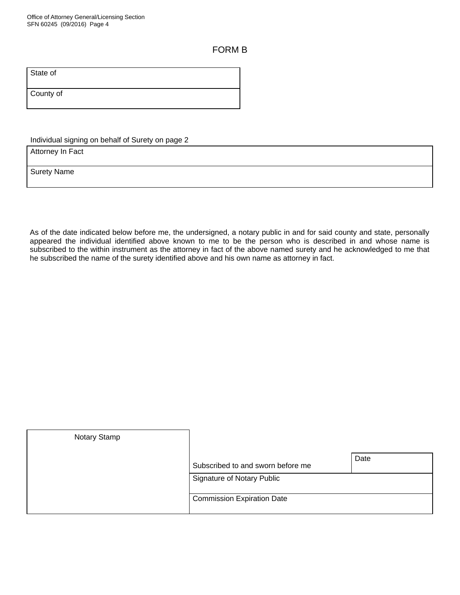## **FORM B**

State of

County of

Individual signing on behalf of Surety on page 2

Attorney In Fact

**Surety Name** 

As of the date indicated below before me, the undersigned, a notary public in and for said county and state, personally appeared the individual identified above known to me to be the person who is described in and whose name is subscribed to the within instrument as the attorney in fact of the above named surety and he acknowledged to me that he subscribed the name of the surety identified above and his own name as attorney in fact.

| Notary Stamp |                                   |      |
|--------------|-----------------------------------|------|
|              | Subscribed to and sworn before me | Date |
|              | Signature of Notary Public        |      |
|              | <b>Commission Expiration Date</b> |      |